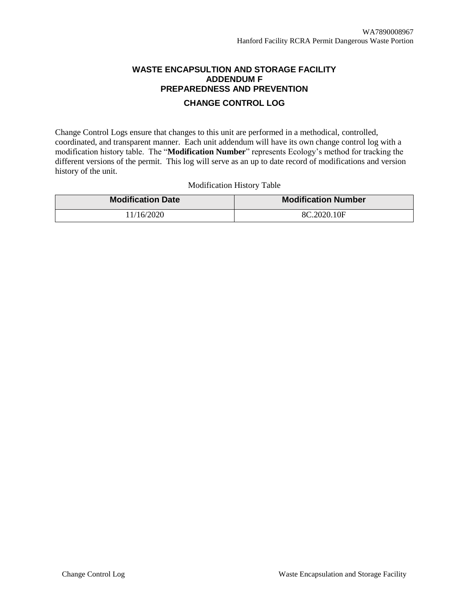# **WASTE ENCAPSULTION AND STORAGE FACILITY ADDENDUM F PREPAREDNESS AND PREVENTION CHANGE CONTROL LOG**

Change Control Logs ensure that changes to this unit are performed in a methodical, controlled, coordinated, and transparent manner. Each unit addendum will have its own change control log with a modification history table. The "**Modification Number**" represents Ecology's method for tracking the different versions of the permit. This log will serve as an up to date record of modifications and version history of the unit.

Modification History Table

| <b>Modification Date</b> | <b>Modification Number</b> |
|--------------------------|----------------------------|
| 1/16/2020                | 8C.2020.10F                |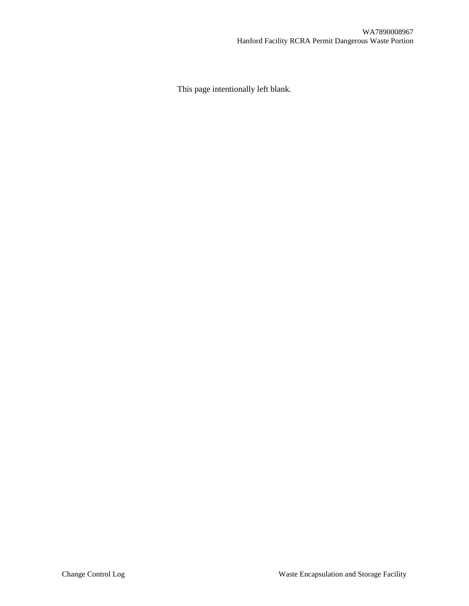This page intentionally left blank.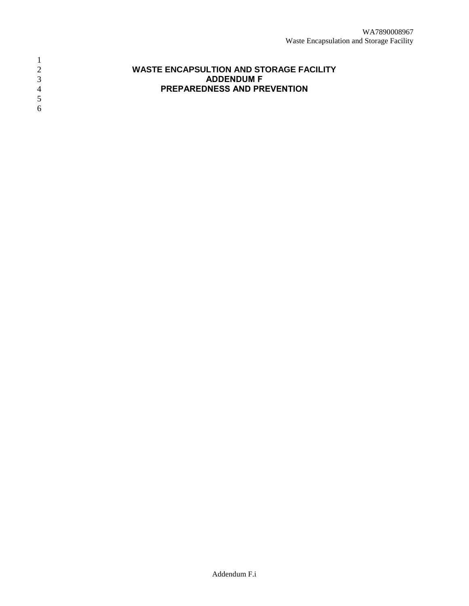| <b>WASTE ENCAPSULTION AND STORAGE FACILITY</b> |
|------------------------------------------------|
| <b>ADDENDUM F</b>                              |
| <b>PREPAREDNESS AND PREVENTION</b>             |
|                                                |
|                                                |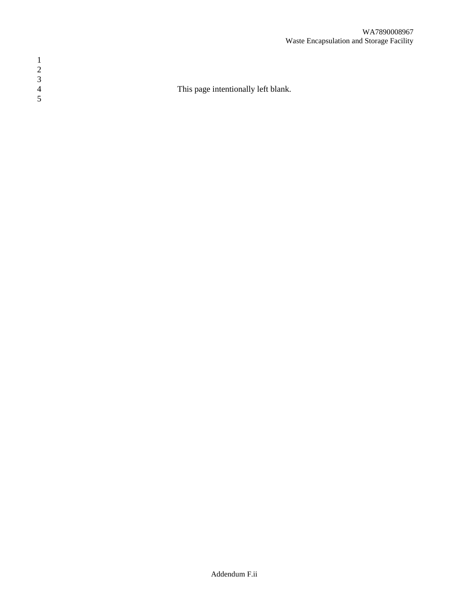This page intentionally left blank.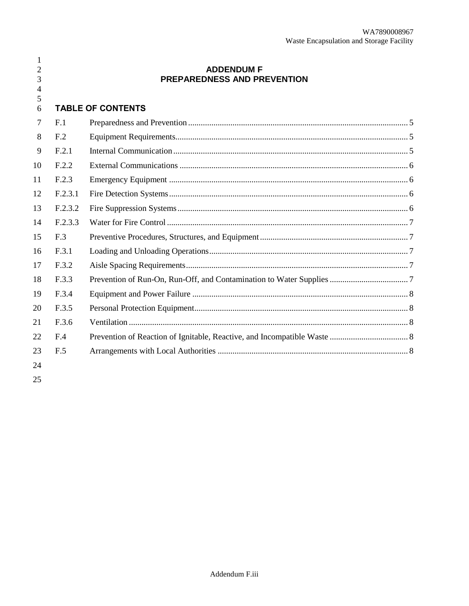| 1                   |                 |                                                         |  |
|---------------------|-----------------|---------------------------------------------------------|--|
| $\overline{2}$<br>3 |                 | <b>ADDENDUM F</b><br><b>PREPAREDNESS AND PREVENTION</b> |  |
| 4                   |                 |                                                         |  |
| 5                   |                 |                                                         |  |
| 6                   |                 | <b>TABLE OF CONTENTS</b>                                |  |
| 7                   | F <sub>.1</sub> |                                                         |  |
| 8                   | F <sub>12</sub> |                                                         |  |
| 9                   | F.2.1           |                                                         |  |
| 10                  | F.2.2           |                                                         |  |
| 11                  | F.2.3           |                                                         |  |
| 12                  | F.2.3.1         |                                                         |  |
| 13                  | F.2.3.2         |                                                         |  |
| 14                  | F.2.3.3         |                                                         |  |
| 15                  | F.3             |                                                         |  |
| 16                  | F.3.1           |                                                         |  |
| 17                  | F.3.2           |                                                         |  |
| 18                  | F.3.3           |                                                         |  |
| 19                  | F.3.4           |                                                         |  |
| 20                  | F.3.5           |                                                         |  |
| 21                  | F.3.6           |                                                         |  |
| 22                  | F.4             |                                                         |  |
| 23                  | F.5             |                                                         |  |
| 24                  |                 |                                                         |  |
|                     |                 |                                                         |  |

25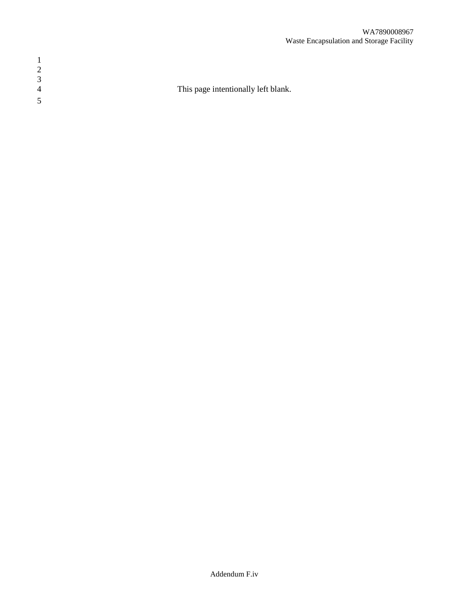This page intentionally left blank.

3 5

1 2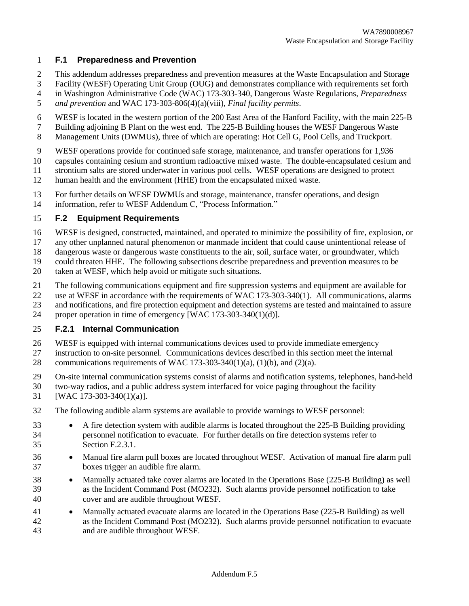### <span id="page-6-0"></span>**F.1 Preparedness and Prevention**

- This addendum addresses preparedness and prevention measures at the Waste Encapsulation and Storage
- Facility (WESF) Operating Unit Group (OUG) and demonstrates compliance with requirements set forth
- in Washington Administrative Code (WAC) 173-303-340, Dangerous Waste Regulations, *Preparedness*
- *and prevention* and WAC 173-303-806(4)(a)(viii), *Final facility permits*.
- WESF is located in the western portion of the 200 East Area of the Hanford Facility, with the main 225-B
- Building adjoining B Plant on the west end. The 225-B Building houses the WESF Dangerous Waste
- Management Units (DWMUs), three of which are operating: Hot Cell G, Pool Cells, and Truckport.
- WESF operations provide for continued safe storage, maintenance, and transfer operations for 1,936
- capsules containing cesium and strontium radioactive mixed waste. The double-encapsulated cesium and
- strontium salts are stored underwater in various pool cells. WESF operations are designed to protect
- human health and the environment (HHE) from the encapsulated mixed waste.
- For further details on WESF DWMUs and storage, maintenance, transfer operations, and design
- information, refer to WESF Addendum C, "Process Information."

### <span id="page-6-1"></span>**F.2 Equipment Requirements**

- WESF is designed, constructed, maintained, and operated to minimize the possibility of fire, explosion, or
- any other unplanned natural phenomenon or manmade incident that could cause unintentional release of
- dangerous waste or dangerous waste constituents to the air, soil, surface water, or groundwater, which
- could threaten HHE. The following subsections describe preparedness and prevention measures to be
- taken at WESF, which help avoid or mitigate such situations.
- The following communications equipment and fire suppression systems and equipment are available for
- use at WESF in accordance with the requirements of WAC 173-303-340(1). All communications, alarms
- and notifications, and fire protection equipment and detection systems are tested and maintained to assure
- proper operation in time of emergency [WAC 173-303-340(1)(d)].

### <span id="page-6-2"></span>**F.2.1 Internal Communication**

- WESF is equipped with internal communications devices used to provide immediate emergency
- instruction to on-site personnel. Communications devices described in this section meet the internal 28 communications requirements of WAC 173-303-340(1)(a), (1)(b), and (2)(a).
- On-site internal communication systems consist of alarms and notification systems, telephones, hand-held
- two-way radios, and a public address system interfaced for voice paging throughout the facility
- [WAC 173-303-340(1)(a)].
- The following audible alarm systems are available to provide warnings to WESF personnel:
- 33 A fire detection system with audible alarms is located throughout the 225-B Building providing personnel notification to evacuate. For further details on fire detection systems refer to Section F.2.3.1.
- Manual fire alarm pull boxes are located throughout WESF. Activation of manual fire alarm pull boxes trigger an audible fire alarm.
- 38 Manually actuated take cover alarms are located in the Operations Base (225-B Building) as well as the Incident Command Post (MO232). Such alarms provide personnel notification to take cover and are audible throughout WESF.
- 41 Manually actuated evacuate alarms are located in the Operations Base (225-B Building) as well as the Incident Command Post (MO232). Such alarms provide personnel notification to evacuate and are audible throughout WESF.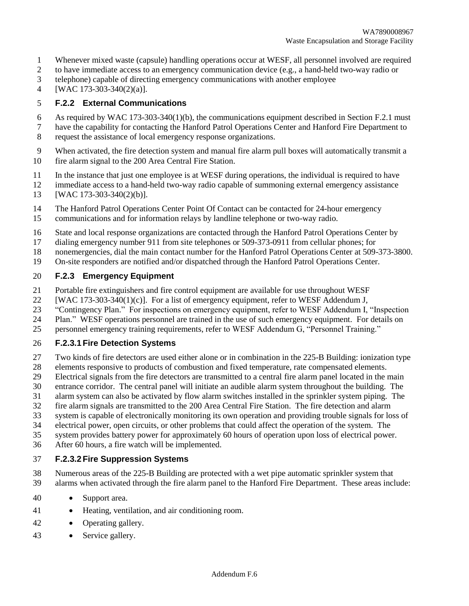- Whenever mixed waste (capsule) handling operations occur at WESF, all personnel involved are required
- to have immediate access to an emergency communication device (e.g., a hand-held two-way radio or
- telephone) capable of directing emergency communications with another employee
- [WAC 173-303-340(2)(a)].

### <span id="page-7-0"></span>**F.2.2 External Communications**

- As required by WAC 173-303-340(1)(b), the communications equipment described in Section F.2.1 must have the capability for contacting the Hanford Patrol Operations Center and Hanford Fire Department to
- request the assistance of local emergency response organizations.
- When activated, the fire detection system and manual fire alarm pull boxes will automatically transmit a fire alarm signal to the 200 Area Central Fire Station.
- In the instance that just one employee is at WESF during operations, the individual is required to have
- immediate access to a hand-held two-way radio capable of summoning external emergency assistance 13 [WAC 173-303-340(2)(b)].
- The Hanford Patrol Operations Center Point Of Contact can be contacted for 24-hour emergency
- communications and for information relays by landline telephone or two-way radio.
- State and local response organizations are contacted through the Hanford Patrol Operations Center by
- dialing emergency number 911 from site telephones or 509-373-0911 from cellular phones; for
- nonemergencies, dial the main contact number for the Hanford Patrol Operations Center at 509-373-3800.
- On-site responders are notified and/or dispatched through the Hanford Patrol Operations Center.

### <span id="page-7-1"></span>**F.2.3 Emergency Equipment**

- Portable fire extinguishers and fire control equipment are available for use throughout WESF
- 22 [WAC 173-303-340(1)(c)]. For a list of emergency equipment, refer to WESF Addendum J,
- "Contingency Plan." For inspections on emergency equipment, refer to WESF Addendum I, "Inspection
- Plan." WESF operations personnel are trained in the use of such emergency equipment. For details on
- personnel emergency training requirements, refer to WESF Addendum G, "Personnel Training."

### <span id="page-7-2"></span>**F.2.3.1Fire Detection Systems**

- Two kinds of fire detectors are used either alone or in combination in the 225-B Building: ionization type
- elements responsive to products of combustion and fixed temperature, rate compensated elements.
- Electrical signals from the fire detectors are transmitted to a central fire alarm panel located in the main
- entrance corridor. The central panel will initiate an audible alarm system throughout the building. The
- alarm system can also be activated by flow alarm switches installed in the sprinkler system piping. The
- fire alarm signals are transmitted to the 200 Area Central Fire Station. The fire detection and alarm
- system is capable of electronically monitoring its own operation and providing trouble signals for loss of
- electrical power, open circuits, or other problems that could affect the operation of the system. The
- system provides battery power for approximately 60 hours of operation upon loss of electrical power.
- After 60 hours, a fire watch will be implemented.

# <span id="page-7-3"></span>**F.2.3.2Fire Suppression Systems**

- Numerous areas of the 225-B Building are protected with a wet pipe automatic sprinkler system that alarms when activated through the fire alarm panel to the Hanford Fire Department. These areas include:
- 40 Support area.
- **•** Heating, ventilation, and air conditioning room.
- 42 Operating gallery.
- 43 Service gallery.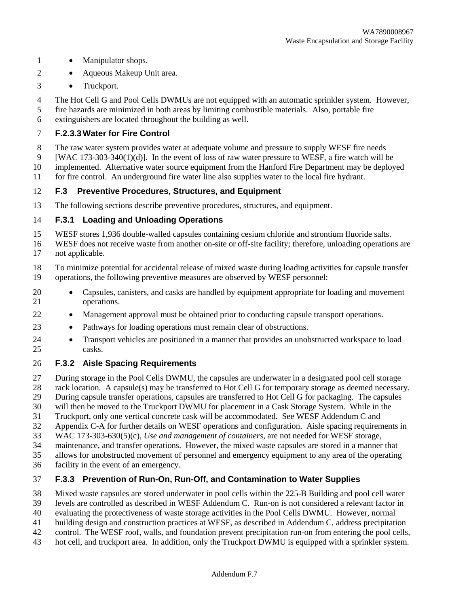- 1 Manipulator shops.
- 2 Aqueous Makeup Unit area.
- 3 Truckport.

The Hot Cell G and Pool Cells DWMUs are not equipped with an automatic sprinkler system. However,

fire hazards are minimized in both areas by limiting combustible materials. Also, portable fire

extinguishers are located throughout the building as well.

### <span id="page-8-0"></span>**F.2.3.3Water for Fire Control**

The raw water system provides water at adequate volume and pressure to supply WESF fire needs

[WAC 173-303-340(1)(d)]. In the event of loss of raw water pressure to WESF, a fire watch will be

implemented. Alternative water source equipment from the Hanford Fire Department may be deployed

for fire control. An underground fire water line also supplies water to the local fire hydrant.

### <span id="page-8-1"></span>**F.3 Preventive Procedures, Structures, and Equipment**

The following sections describe preventive procedures, structures, and equipment.

### <span id="page-8-2"></span>**F.3.1 Loading and Unloading Operations**

WESF stores 1,936 double-walled capsules containing cesium chloride and strontium fluoride salts.

- WESF does not receive waste from another on-site or off-site facility; therefore, unloading operations are not applicable.
- To minimize potential for accidental release of mixed waste during loading activities for capsule transfer operations, the following preventive measures are observed by WESF personnel:
- Capsules, canisters, and casks are handled by equipment appropriate for loading and movement operations.
- 22 Management approval must be obtained prior to conducting capsule transport operations.
- Pathways for loading operations must remain clear of obstructions.
- Transport vehicles are positioned in a manner that provides an unobstructed workspace to load casks.

## <span id="page-8-3"></span>**F.3.2 Aisle Spacing Requirements**

During storage in the Pool Cells DWMU, the capsules are underwater in a designated pool cell storage

rack location. A capsule(s) may be transferred to Hot Cell G for temporary storage as deemed necessary.

- During capsule transfer operations, capsules are transferred to Hot Cell G for packaging. The capsules
- will then be moved to the Truckport DWMU for placement in a Cask Storage System. While in the
- Truckport, only one vertical concrete cask will be accommodated. See WESF Addendum C and
- Appendix C-A for further details on WESF operations and configuration. Aisle spacing requirements in
- WAC 173-303-630(5)(c), *Use and management of containers*, are not needed for WESF storage,
- maintenance, and transfer operations. However, the mixed waste capsules are stored in a manner that

allows for unobstructed movement of personnel and emergency equipment to any area of the operating

facility in the event of an emergency.

## <span id="page-8-4"></span>**F.3.3 Prevention of Run-On, Run-Off, and Contamination to Water Supplies**

- Mixed waste capsules are stored underwater in pool cells within the 225-B Building and pool cell water
- levels are controlled as described in WESF Addendum C. Run-on is not considered a relevant factor in
- evaluating the protectiveness of waste storage activities in the Pool Cells DWMU. However, normal
- building design and construction practices at WESF, as described in Addendum C, address precipitation
- control. The WESF roof, walls, and foundation prevent precipitation run-on from entering the pool cells,
- hot cell, and truckport area. In addition, only the Truckport DWMU is equipped with a sprinkler system.